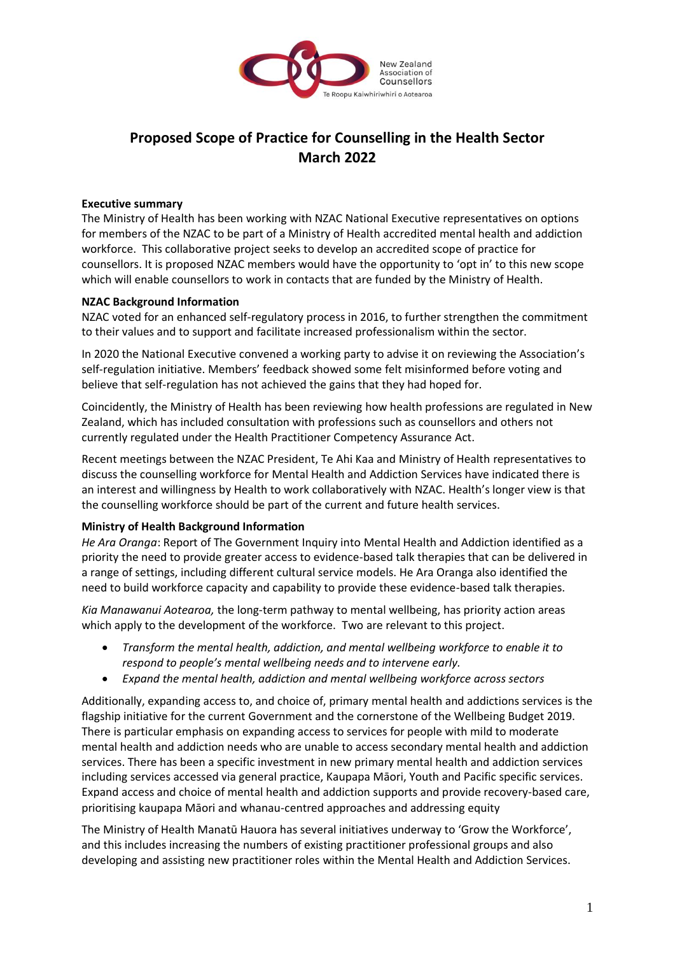

# **Proposed Scope of Practice for Counselling in the Health Sector March 2022**

## **Executive summary**

The Ministry of Health has been working with NZAC National Executive representatives on options for members of the NZAC to be part of a Ministry of Health accredited mental health and addiction workforce. This collaborative project seeks to develop an accredited scope of practice for counsellors. It is proposed NZAC members would have the opportunity to 'opt in' to this new scope which will enable counsellors to work in contacts that are funded by the Ministry of Health.

## **NZAC Background Information**

NZAC voted for an enhanced self-regulatory process in 2016, to further strengthen the commitment to their values and to support and facilitate increased professionalism within the sector.

In 2020 the National Executive convened a working party to advise it on reviewing the Association's self-regulation initiative. Members' feedback showed some felt misinformed before voting and believe that self-regulation has not achieved the gains that they had hoped for.

Coincidently, the Ministry of Health has been reviewing how health professions are regulated in New Zealand, which has included consultation with professions such as counsellors and others not currently regulated under the Health Practitioner Competency Assurance Act.

Recent meetings between the NZAC President, Te Ahi Kaa and Ministry of Health representatives to discuss the counselling workforce for Mental Health and Addiction Services have indicated there is an interest and willingness by Health to work collaboratively with NZAC. Health's longer view is that the counselling workforce should be part of the current and future health services.

## **Ministry of Health Background Information**

*He Ara Oranga*: Report of The Government Inquiry into Mental Health and Addiction identified as a priority the need to provide greater access to evidence-based talk therapies that can be delivered in a range of settings, including different cultural service models. He Ara Oranga also identified the need to build workforce capacity and capability to provide these evidence-based talk therapies.

*Kia Manawanui Aotearoa,* the long-term pathway to mental wellbeing, has priority action areas which apply to the development of the workforce. Two are relevant to this project.

- *Transform the mental health, addiction, and mental wellbeing workforce to enable it to respond to people's mental wellbeing needs and to intervene early.*
- *Expand the mental health, addiction and mental wellbeing workforce across sectors*

Additionally, expanding access to, and choice of, primary mental health and addictions services is the flagship initiative for the current Government and the cornerstone of the Wellbeing Budget 2019. There is particular emphasis on expanding access to services for people with mild to moderate mental health and addiction needs who are unable to access secondary mental health and addiction services. There has been a specific investment in new primary mental health and addiction services including services accessed via general practice, Kaupapa Māori, Youth and Pacific specific services. Expand access and choice of mental health and addiction supports and provide recovery-based care, prioritising kaupapa Māori and whanau-centred approaches and addressing equity

The Ministry of Health Manatū Hauora has several initiatives underway to 'Grow the Workforce', and this includes increasing the numbers of existing practitioner professional groups and also developing and assisting new practitioner roles within the Mental Health and Addiction Services.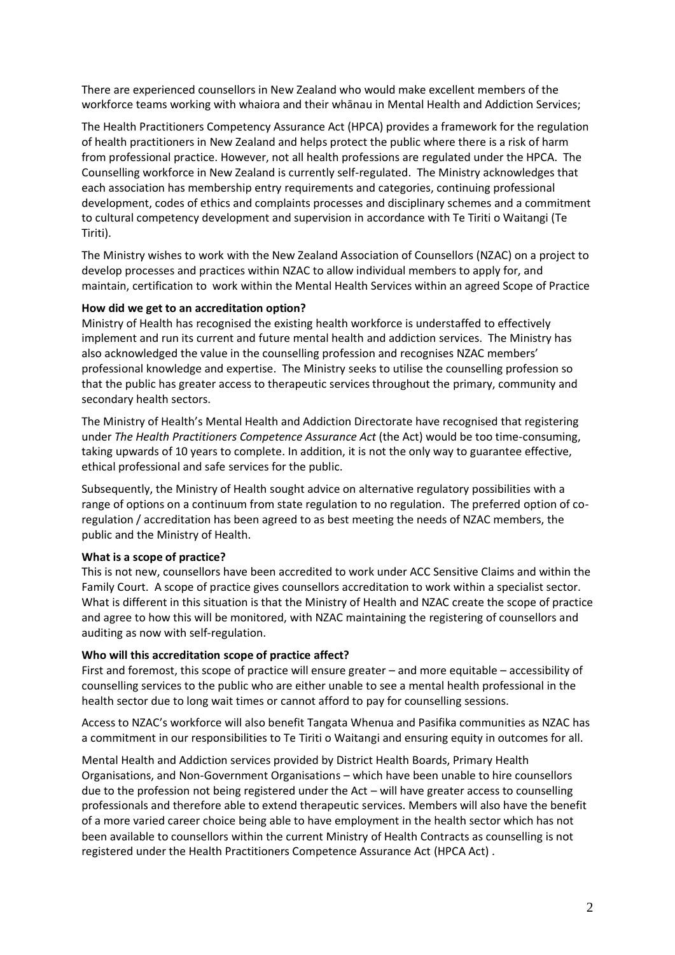There are experienced counsellors in New Zealand who would make excellent members of the workforce teams working with whaiora and their whānau in Mental Health and Addiction Services;

The Health Practitioners Competency Assurance Act (HPCA) provides a framework for the regulation of health practitioners in New Zealand and helps protect the public where there is a risk of harm from professional practice. However, not all health professions are regulated under the HPCA. The Counselling workforce in New Zealand is currently self-regulated. The Ministry acknowledges that each association has membership entry requirements and categories, continuing professional development, codes of ethics and complaints processes and disciplinary schemes and a commitment to cultural competency development and supervision in accordance with Te Tiriti o Waitangi (Te Tiriti).

The Ministry wishes to work with the New Zealand Association of Counsellors (NZAC) on a project to develop processes and practices within NZAC to allow individual members to apply for, and maintain, certification to work within the Mental Health Services within an agreed Scope of Practice

## **How did we get to an accreditation option?**

Ministry of Health has recognised the existing health workforce is understaffed to effectively implement and run its current and future mental health and addiction services. The Ministry has also acknowledged the value in the counselling profession and recognises NZAC members' professional knowledge and expertise. The Ministry seeks to utilise the counselling profession so that the public has greater access to therapeutic services throughout the primary, community and secondary health sectors.

The Ministry of Health's Mental Health and Addiction Directorate have recognised that registering under *The Health Practitioners Competence Assurance Act* (the Act) would be too time-consuming, taking upwards of 10 years to complete. In addition, it is not the only way to guarantee effective, ethical professional and safe services for the public.

Subsequently, the Ministry of Health sought advice on alternative regulatory possibilities with a range of options on a continuum from state regulation to no regulation. The preferred option of coregulation / accreditation has been agreed to as best meeting the needs of NZAC members, the public and the Ministry of Health.

## **What is a scope of practice?**

This is not new, counsellors have been accredited to work under ACC Sensitive Claims and within the Family Court. A scope of practice gives counsellors accreditation to work within a specialist sector. What is different in this situation is that the Ministry of Health and NZAC create the scope of practice and agree to how this will be monitored, with NZAC maintaining the registering of counsellors and auditing as now with self-regulation.

## **Who will this accreditation scope of practice affect?**

First and foremost, this scope of practice will ensure greater – and more equitable – accessibility of counselling services to the public who are either unable to see a mental health professional in the health sector due to long wait times or cannot afford to pay for counselling sessions.

Access to NZAC's workforce will also benefit Tangata Whenua and Pasifika communities as NZAC has a commitment in our responsibilities to Te Tiriti o Waitangi and ensuring equity in outcomes for all.

Mental Health and Addiction services provided by District Health Boards, Primary Health Organisations, and Non-Government Organisations – which have been unable to hire counsellors due to the profession not being registered under the Act – will have greater access to counselling professionals and therefore able to extend therapeutic services. Members will also have the benefit of a more varied career choice being able to have employment in the health sector which has not been available to counsellors within the current Ministry of Health Contracts as counselling is not registered under the Health Practitioners Competence Assurance Act (HPCA Act) .